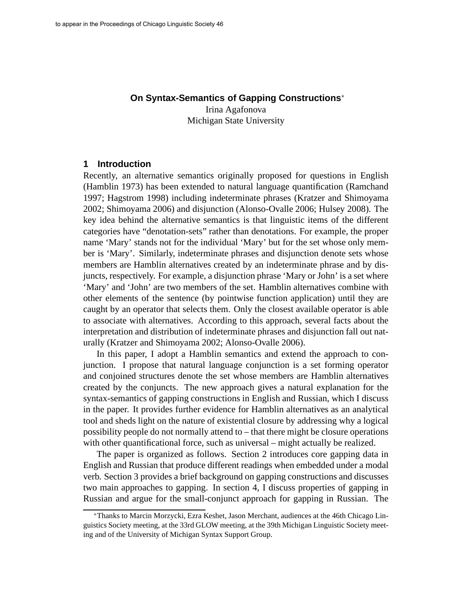## **On Syntax-Semantics of Gapping Constructions**<sup>∗</sup>

Irina Agafonova Michigan State University

#### **1 Introduction**

Recently, an alternative semantics originally proposed for questions in English (Hamblin 1973) has been extended to natural language quantification (Ramchand 1997; Hagstrom 1998) including indeterminate phrases (Kratzer and Shimoyama 2002; Shimoyama 2006) and disjunction (Alonso-Ovalle 2006; Hulsey 2008). The key idea behind the alternative semantics is that linguistic items of the different categories have "denotation-sets" rather than denotations. For example, the proper name 'Mary' stands not for the individual 'Mary' but for the set whose only member is 'Mary'. Similarly, indeterminate phrases and disjunction denote sets whose members are Hamblin alternatives created by an indeterminate phrase and by disjuncts, respectively. For example, a disjunction phrase 'Mary or John' is a set where 'Mary' and 'John' are two members of the set. Hamblin alternatives combine with other elements of the sentence (by pointwise function application) until they are caught by an operator that selects them. Only the closest available operator is able to associate with alternatives. According to this approach, several facts about the interpretation and distribution of indeterminate phrases and disjunction fall out naturally (Kratzer and Shimoyama 2002; Alonso-Ovalle 2006).

In this paper, I adopt a Hamblin semantics and extend the approach to conjunction. I propose that natural language conjunction is a set forming operator and conjoined structures denote the set whose members are Hamblin alternatives created by the conjuncts. The new approach gives a natural explanation for the syntax-semantics of gapping constructions in English and Russian, which I discuss in the paper. It provides further evidence for Hamblin alternatives as an analytical tool and sheds light on the nature of existential closure by addressing why a logical possibility people do not normally attend to – that there might be closure operations with other quantificational force, such as universal – might actually be realized.

The paper is organized as follows. Section 2 introduces core gapping data in English and Russian that produce different readings when embedded under a modal verb. Section 3 provides a brief background on gapping constructions and discusses two main approaches to gapping. In section 4, I discuss properties of gapping in Russian and argue for the small-conjunct approach for gapping in Russian. The

<sup>∗</sup>Thanks to Marcin Morzycki, Ezra Keshet, Jason Merchant, audiences at the 46th Chicago Linguistics Society meeting, at the 33rd GLOW meeting, at the 39th Michigan Linguistic Society meeting and of the University of Michigan Syntax Support Group.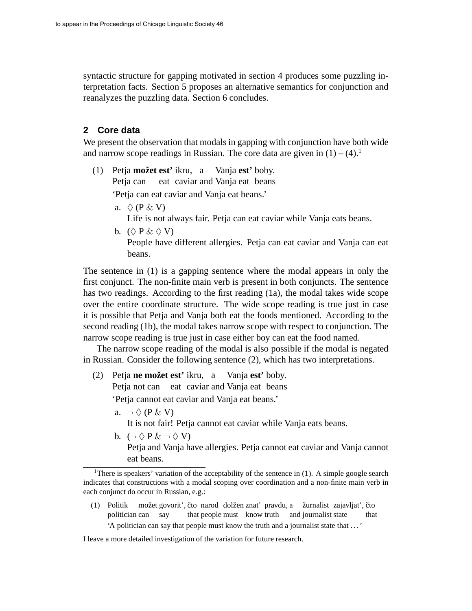syntactic structure for gapping motivated in section 4 produces some puzzling interpretation facts. Section 5 proposes an alternative semantics for conjunction and reanalyzes the puzzling data. Section 6 concludes.

## **2 Core data**

We present the observation that modals in gapping with conjunction have both wide and narrow scope readings in Russian. The core data are given in  $(1) - (4)$ .<sup>1</sup>

- (1) Petja **mozet ˇ est'** ikru, a Vanja **est'** boby. Petja can eat caviar and Vanja eat beans 'Petja can eat caviar and Vanja eat beans.'
	- a.  $\Diamond$  (P & V)

Life is not always fair. Petja can eat caviar while Vanja eats beans.

b.  $(\Diamond P \& \Diamond V)$ People have different allergies. Petja can eat caviar and Vanja can eat beans.

The sentence in (1) is a gapping sentence where the modal appears in only the first conjunct. The non-finite main verb is present in both conjuncts. The sentence has two readings. According to the first reading (1a), the modal takes wide scope over the entire coordinate structure. The wide scope reading is true just in case it is possible that Petja and Vanja both eat the foods mentioned. According to the second reading (1b), the modal takes narrow scope with respect to conjunction. The narrow scope reading is true just in case either boy can eat the food named.

The narrow scope reading of the modal is also possible if the modal is negated in Russian. Consider the following sentence (2), which has two interpretations.

(2) Petja **ne možet est'** ikru, a Vanja **est'** boby. Petja not can eat caviar and Vanja eat beans

'Petja cannot eat caviar and Vanja eat beans.'

a.  $\neg \Diamond (P \& V)$ 

It is not fair! Petja cannot eat caviar while Vanja eats beans.

b.  $(\neg \Diamond P \& \neg \Diamond V)$ 

Petja and Vanja have allergies. Petja cannot eat caviar and Vanja cannot eat beans.

(1) Politik možet govorit', čto narod dolžen znat' pravdu, a žurnalist zajavljat', čto politician can say that people must know truth and journalist state that 'A politician can say that people must know the truth and a journalist state that . . . '

#### I leave a more detailed investigation of the variation for future research.

<sup>&</sup>lt;sup>1</sup>There is speakers' variation of the acceptability of the sentence in (1). A simple google search indicates that constructions with a modal scoping over coordination and a non-finite main verb in each conjunct do occur in Russian, e.g.: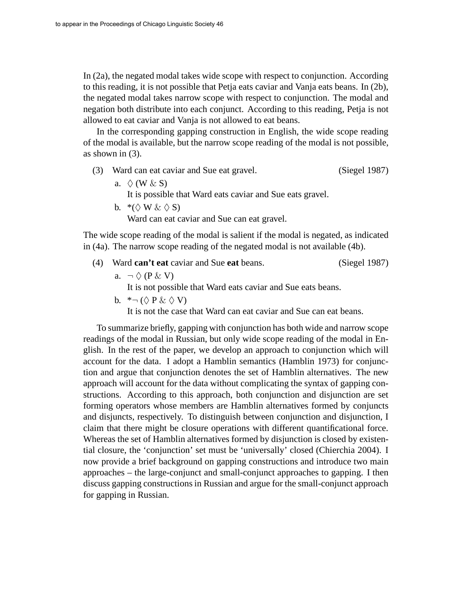In (2a), the negated modal takes wide scope with respect to conjunction. According to this reading, it is not possible that Petja eats caviar and Vanja eats beans. In (2b), the negated modal takes narrow scope with respect to conjunction. The modal and negation both distribute into each conjunct. According to this reading, Petja is not allowed to eat caviar and Vanja is not allowed to eat beans.

In the corresponding gapping construction in English, the wide scope reading of the modal is available, but the narrow scope reading of the modal is not possible, as shown in (3).

- (3) Ward can eat caviar and Sue eat gravel. (Siegel 1987)
	- a.  $\Diamond$  (W & S) It is possible that Ward eats caviar and Sue eats gravel.
	- b.  $*(\Diamond \mathbf{W} \& \Diamond \mathbf{S})$

Ward can eat caviar and Sue can eat gravel.

The wide scope reading of the modal is salient if the modal is negated, as indicated in (4a). The narrow scope reading of the negated modal is not available (4b).

- (4) Ward **can't eat** caviar and Sue **eat** beans. (Siegel 1987)
	- a.  $\neg \Diamond (P \& V)$

It is not possible that Ward eats caviar and Sue eats beans.

b.  $* \neg (\Diamond P \& \Diamond V)$ 

It is not the case that Ward can eat caviar and Sue can eat beans.

To summarize briefly, gapping with conjunction has both wide and narrow scope readings of the modal in Russian, but only wide scope reading of the modal in English. In the rest of the paper, we develop an approach to conjunction which will account for the data. I adopt a Hamblin semantics (Hamblin 1973) for conjunction and argue that conjunction denotes the set of Hamblin alternatives. The new approach will account for the data without complicating the syntax of gapping constructions. According to this approach, both conjunction and disjunction are set forming operators whose members are Hamblin alternatives formed by conjuncts and disjuncts, respectively. To distinguish between conjunction and disjunction, I claim that there might be closure operations with different quantificational force. Whereas the set of Hamblin alternatives formed by disjunction is closed by existential closure, the 'conjunction' set must be 'universally' closed (Chierchia 2004). I now provide a brief background on gapping constructions and introduce two main approaches – the large-conjunct and small-conjunct approaches to gapping. I then discuss gapping constructions in Russian and argue for the small-conjunct approach for gapping in Russian.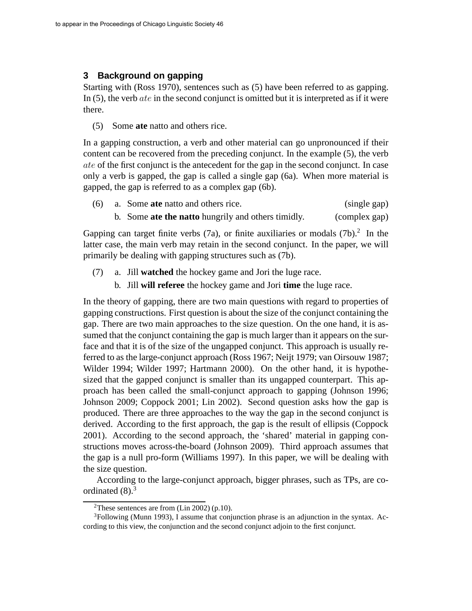## **3 Background on gapping**

Starting with (Ross 1970), sentences such as (5) have been referred to as gapping. In  $(5)$ , the verb *ate* in the second conjunct is omitted but it is interpreted as if it were there.

(5) Some **ate** natto and others rice.

In a gapping construction, a verb and other material can go unpronounced if their content can be recovered from the preceding conjunct. In the example (5), the verb ate of the first conjunct is the antecedent for the gap in the second conjunct. In case only a verb is gapped, the gap is called a single gap (6a). When more material is gapped, the gap is referred to as a complex gap (6b).

|  |  |  | (6) a. Some ate natto and others rice. |  |  | (single gap) |  |  |  |
|--|--|--|----------------------------------------|--|--|--------------|--|--|--|
|  |  |  |                                        |  |  |              |  |  |  |

b. Some **ate the natto** hungrily and others timidly. (complex gap)

Gapping can target finite verbs  $(7a)$ , or finite auxiliaries or modals  $(7b)$ .<sup>2</sup> In the latter case, the main verb may retain in the second conjunct. In the paper, we will primarily be dealing with gapping structures such as (7b).

- (7) a. Jill **watched** the hockey game and Jori the luge race.
	- b. Jill **will referee** the hockey game and Jori **time** the luge race.

In the theory of gapping, there are two main questions with regard to properties of gapping constructions. First question is about the size of the conjunct containing the gap. There are two main approaches to the size question. On the one hand, it is assumed that the conjunct containing the gap is much larger than it appears on the surface and that it is of the size of the ungapped conjunct. This approach is usually referred to as the large-conjunct approach (Ross 1967; Neijt 1979; van Oirsouw 1987; Wilder 1994; Wilder 1997; Hartmann 2000). On the other hand, it is hypothesized that the gapped conjunct is smaller than its ungapped counterpart. This approach has been called the small-conjunct approach to gapping (Johnson 1996; Johnson 2009; Coppock 2001; Lin 2002). Second question asks how the gap is produced. There are three approaches to the way the gap in the second conjunct is derived. According to the first approach, the gap is the result of ellipsis (Coppock 2001). According to the second approach, the 'shared' material in gapping constructions moves across-the-board (Johnson 2009). Third approach assumes that the gap is a null pro-form (Williams 1997). In this paper, we will be dealing with the size question.

According to the large-conjunct approach, bigger phrases, such as TPs, are coordinated  $(8)$ .<sup>3</sup>

<sup>&</sup>lt;sup>2</sup>These sentences are from  $(Lin 2002)$  (p.10).

 $3$ Following (Munn 1993), I assume that conjunction phrase is an adjunction in the syntax. According to this view, the conjunction and the second conjunct adjoin to the first conjunct.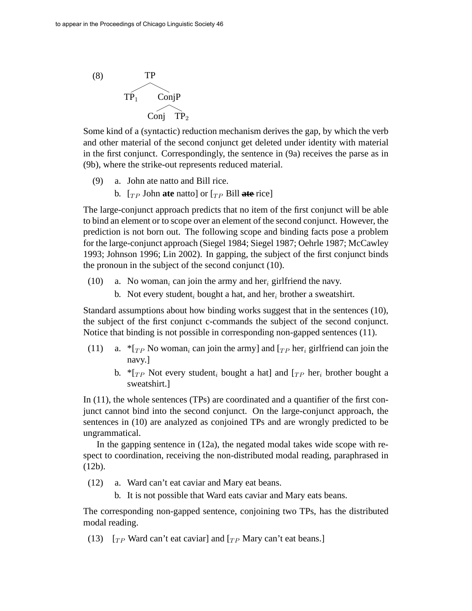

Some kind of a (syntactic) reduction mechanism derives the gap, by which the verb and other material of the second conjunct get deleted under identity with material in the first conjunct. Correspondingly, the sentence in (9a) receives the parse as in (9b), where the strike-out represents reduced material.

- (9) a. John ate natto and Bill rice.
	- b.  $[\tau_P]$  John **ate** natto] or  $[\tau_P]$  Bill **ate** rice]

The large-conjunct approach predicts that no item of the first conjunct will be able to bind an element or to scope over an element of the second conjunct. However, the prediction is not born out. The following scope and binding facts pose a problem for the large-conjunct approach (Siegel 1984; Siegel 1987; Oehrle 1987; McCawley 1993; Johnson 1996; Lin 2002). In gapping, the subject of the first conjunct binds the pronoun in the subject of the second conjunct (10).

- (10) a. No woman<sub>i</sub> can join the army and her<sub>i</sub> girlfriend the navy.
	- b. Not every student, bought a hat, and her, brother a sweatshirt.

Standard assumptions about how binding works suggest that in the sentences (10), the subject of the first conjunct c-commands the subject of the second conjunct. Notice that binding is not possible in corresponding non-gapped sentences (11).

- (11) a.  ${}^*r_{TP}$  No woman<sub>i</sub> can join the army] and  $r_{TP}$  her<sub>i</sub> girlfriend can join the navy.]
	- b.  ${}^*$ [TP Not every student<sub>i</sub> bought a hat] and [TP her<sub>i</sub> brother bought a sweatshirt.]

In (11), the whole sentences (TPs) are coordinated and a quantifier of the first conjunct cannot bind into the second conjunct. On the large-conjunct approach, the sentences in (10) are analyzed as conjoined TPs and are wrongly predicted to be ungrammatical.

In the gapping sentence in (12a), the negated modal takes wide scope with respect to coordination, receiving the non-distributed modal reading, paraphrased in (12b).

(12) a. Ward can't eat caviar and Mary eat beans.

b. It is not possible that Ward eats caviar and Mary eats beans.

The corresponding non-gapped sentence, conjoining two TPs, has the distributed modal reading.

(13)  $[\tau_P$  Ward can't eat caviar] and  $[\tau_P$  Mary can't eat beans.]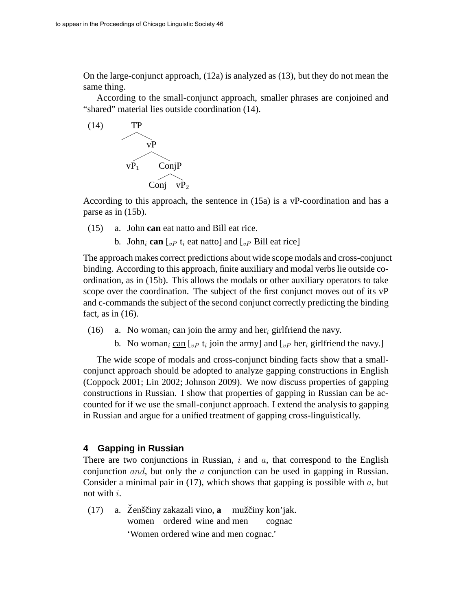On the large-conjunct approach, (12a) is analyzed as (13), but they do not mean the same thing.

According to the small-conjunct approach, smaller phrases are conjoined and "shared" material lies outside coordination (14).



According to this approach, the sentence in (15a) is a vP-coordination and has a parse as in (15b).

- (15) a. John **can** eat natto and Bill eat rice.
	- b. John<sub>i</sub> can  $\left[{}_{vP} t_i \right]$  eat natto] and  $\left[{}_{vP} \right]$  Bill eat rice]

The approach makes correct predictions about wide scope modals and cross-conjunct binding. According to this approach, finite auxiliary and modal verbs lie outside coordination, as in (15b). This allows the modals or other auxiliary operators to take scope over the coordination. The subject of the first conjunct moves out of its vP and c-commands the subject of the second conjunct correctly predicting the binding fact, as in  $(16)$ .

- (16) a. No woman<sub>i</sub> can join the army and her<sub>i</sub> girlfriend the navy.
	- b. No woman<sub>i</sub> can [ $_{v}P$  t<sub>i</sub> join the army] and [ $_{v}P$  her<sub>i</sub> girlfriend the navy.]

The wide scope of modals and cross-conjunct binding facts show that a smallconjunct approach should be adopted to analyze gapping constructions in English (Coppock 2001; Lin 2002; Johnson 2009). We now discuss properties of gapping constructions in Russian. I show that properties of gapping in Russian can be accounted for if we use the small-conjunct approach. I extend the analysis to gapping in Russian and argue for a unified treatment of gapping cross-linguistically.

# **4 Gapping in Russian**

There are two conjunctions in Russian,  $i$  and  $a$ , that correspond to the English conjunction and, but only the a conjunction can be used in gapping in Russian. Consider a minimal pair in (17), which shows that gapping is possible with  $a$ , but not with  $i$ .

(17) a. Ženščiny zakazali vino, **a** mužčiny kon'jak. women ordered wine and men cognac 'Women ordered wine and men cognac.'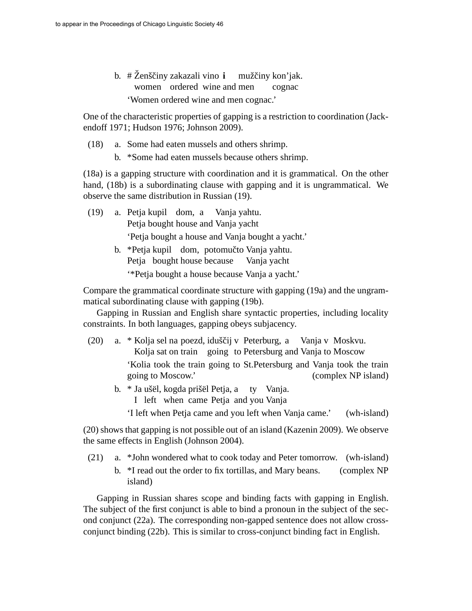b. #Ženščiny zakazali vino **i** mužčiny kon'jak. women ordered wine and men cognac 'Women ordered wine and men cognac.'

One of the characteristic properties of gapping is a restriction to coordination (Jackendoff 1971; Hudson 1976; Johnson 2009).

- (18) a. Some had eaten mussels and others shrimp.
	- b. \*Some had eaten mussels because others shrimp.

(18a) is a gapping structure with coordination and it is grammatical. On the other hand, (18b) is a subordinating clause with gapping and it is ungrammatical. We observe the same distribution in Russian (19).

- (19) a. Petja kupil dom, a Petja bought house and Vanja yacht Vanja yahtu. 'Petja bought a house and Vanja bought a yacht.'
	- b. \*Petja kupil dom, potomučto Vanja yahtu. Petja bought house because Vanja yacht '\*Petja bought a house because Vanja a yacht.'

Compare the grammatical coordinate structure with gapping (19a) and the ungrammatical subordinating clause with gapping (19b).

Gapping in Russian and English share syntactic properties, including locality constraints. In both languages, gapping obeys subjacency.

- (20) a. \* Kolja sel na poezd, iduščij v Peterburg, a Vanja v Moskvu. Kolja sat on train going to Petersburg and Vanja to Moscow 'Kolia took the train going to St.Petersburg and Vanja took the train going to Moscow.' (complex NP island)
	- b. \* Ja ušël, kogda prišël Petja, a ty Vanja.
		- I left when came Petja and you Vanja
		- 'I left when Petja came and you left when Vanja came.' (wh-island)

(20) shows that gapping is not possible out of an island (Kazenin 2009). We observe the same effects in English (Johnson 2004).

- (21) a. \*John wondered what to cook today and Peter tomorrow. (wh-island)
	- b. \*I read out the order to fix tortillas, and Mary beans. (complex NP island)

Gapping in Russian shares scope and binding facts with gapping in English. The subject of the first conjunct is able to bind a pronoun in the subject of the second conjunct (22a). The corresponding non-gapped sentence does not allow crossconjunct binding (22b). This is similar to cross-conjunct binding fact in English.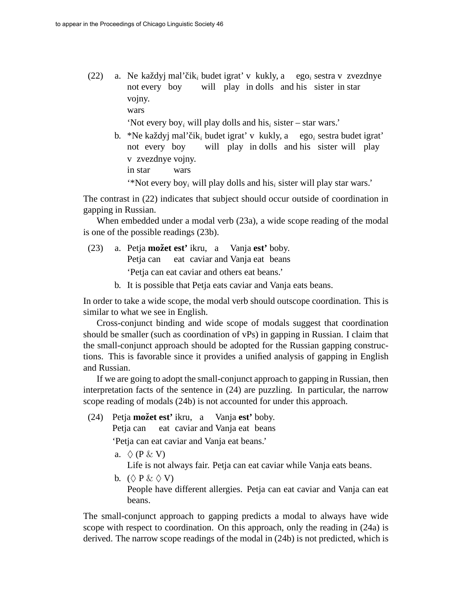(22) a. Ne každyj mal'čik<sub>i</sub> budet igrat' v kukly, a ego<sub>i</sub> sestra v zvezdnye not every boy will play in dolls and his sister in star vojny. wars

'Not every boy<sub>i</sub> will play dolls and his<sub>i</sub> sister – star wars.'

b. \*Ne každyj mal'čik<sub>i</sub> budet igrat' v kukly, a ego<sub>i</sub> sestra budet igrat' not every boy will play in dolls and his sister will play v zvezdnye vojny. in star wars

'\*Not every boy<sub>i</sub> will play dolls and his<sub>i</sub> sister will play star wars.'

The contrast in (22) indicates that subject should occur outside of coordination in gapping in Russian.

When embedded under a modal verb (23a), a wide scope reading of the modal is one of the possible readings (23b).

- (23) a. Petja **možet est'** ikru, a Vanja **est'** boby. Petja can eat caviar and Vanja eat beans 'Petja can eat caviar and others eat beans.'
	- b. It is possible that Petja eats caviar and Vanja eats beans.

In order to take a wide scope, the modal verb should outscope coordination. This is similar to what we see in English.

Cross-conjunct binding and wide scope of modals suggest that coordination should be smaller (such as coordination of vPs) in gapping in Russian. I claim that the small-conjunct approach should be adopted for the Russian gapping constructions. This is favorable since it provides a unified analysis of gapping in English and Russian.

If we are going to adopt the small-conjunct approach to gapping in Russian, then interpretation facts of the sentence in (24) are puzzling. In particular, the narrow scope reading of modals (24b) is not accounted for under this approach.

(24) Petja **možet est'** ikru, a Vanja **est'** boby.

Petja can eat caviar and Vanja eat beans

'Petja can eat caviar and Vanja eat beans.'

a.  $\Diamond$  (P & V)

Life is not always fair. Petja can eat caviar while Vanja eats beans.

b.  $(\Diamond \mathbf{P} \& \Diamond \mathbf{V})$ 

People have different allergies. Petja can eat caviar and Vanja can eat beans.

The small-conjunct approach to gapping predicts a modal to always have wide scope with respect to coordination. On this approach, only the reading in (24a) is derived. The narrow scope readings of the modal in (24b) is not predicted, which is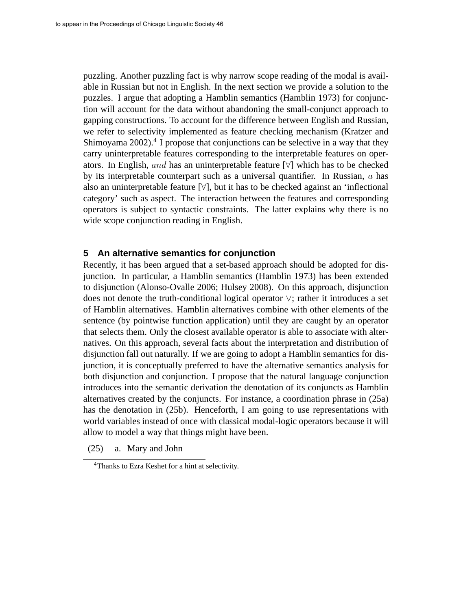puzzling. Another puzzling fact is why narrow scope reading of the modal is available in Russian but not in English. In the next section we provide a solution to the puzzles. I argue that adopting a Hamblin semantics (Hamblin 1973) for conjunction will account for the data without abandoning the small-conjunct approach to gapping constructions. To account for the difference between English and Russian, we refer to selectivity implemented as feature checking mechanism (Kratzer and Shimoyama 2002).<sup>4</sup> I propose that conjunctions can be selective in a way that they carry uninterpretable features corresponding to the interpretable features on operators. In English, and has an uninterpretable feature  $[\forall]$  which has to be checked by its interpretable counterpart such as a universal quantifier. In Russian,  $a$  has also an uninterpretable feature [∀], but it has to be checked against an 'inflectional category' such as aspect. The interaction between the features and corresponding operators is subject to syntactic constraints. The latter explains why there is no wide scope conjunction reading in English.

### **5 An alternative semantics for conjunction**

Recently, it has been argued that a set-based approach should be adopted for disjunction. In particular, a Hamblin semantics (Hamblin 1973) has been extended to disjunction (Alonso-Ovalle 2006; Hulsey 2008). On this approach, disjunction does not denote the truth-conditional logical operator ∨; rather it introduces a set of Hamblin alternatives. Hamblin alternatives combine with other elements of the sentence (by pointwise function application) until they are caught by an operator that selects them. Only the closest available operator is able to associate with alternatives. On this approach, several facts about the interpretation and distribution of disjunction fall out naturally. If we are going to adopt a Hamblin semantics for disjunction, it is conceptually preferred to have the alternative semantics analysis for both disjunction and conjunction. I propose that the natural language conjunction introduces into the semantic derivation the denotation of its conjuncts as Hamblin alternatives created by the conjuncts. For instance, a coordination phrase in (25a) has the denotation in (25b). Henceforth, I am going to use representations with world variables instead of once with classical modal-logic operators because it will allow to model a way that things might have been.

(25) a. Mary and John

<sup>4</sup>Thanks to Ezra Keshet for a hint at selectivity.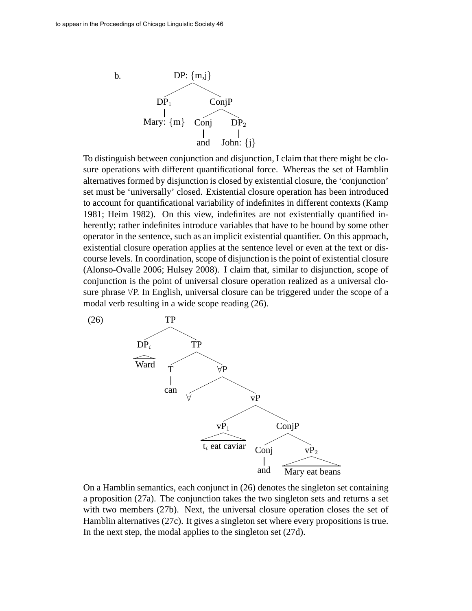

To distinguish between conjunction and disjunction, I claim that there might be closure operations with different quantificational force. Whereas the set of Hamblin alternatives formed by disjunction is closed by existential closure, the 'conjunction' set must be 'universally' closed. Existential closure operation has been introduced to account for quantificational variability of indefinites in different contexts (Kamp 1981; Heim 1982). On this view, indefinites are not existentially quantified inherently; rather indefinites introduce variables that have to be bound by some other operator in the sentence, such as an implicit existential quantifier. On this approach, existential closure operation applies at the sentence level or even at the text or discourse levels. In coordination, scope of disjunction is the point of existential closure (Alonso-Ovalle 2006; Hulsey 2008). I claim that, similar to disjunction, scope of conjunction is the point of universal closure operation realized as a universal closure phrase ∀P. In English, universal closure can be triggered under the scope of a modal verb resulting in a wide scope reading (26).



On a Hamblin semantics, each conjunct in (26) denotes the singleton set containing a proposition (27a). The conjunction takes the two singleton sets and returns a set with two members (27b). Next, the universal closure operation closes the set of Hamblin alternatives (27c). It gives a singleton set where every propositions is true. In the next step, the modal applies to the singleton set (27d).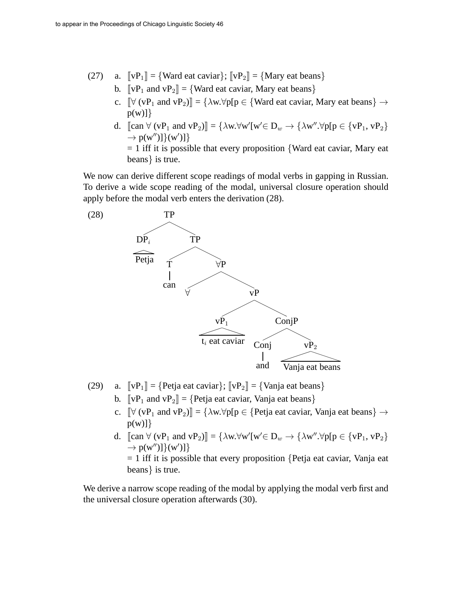- (27) a.  $\[\mathbf{v} \mathbf{P}_1\] = \{\text{Ward eat cavity}\}$ ;  $\[\mathbf{v} \mathbf{P}_2\] = \{\text{Mary eat beans}\}$ 
	- b.  $\[\mathbf{v} \mathbf{P}_1 \text{ and } \mathbf{v} \mathbf{P}_2\] = \{\text{Ward eat cavity}, \text{Mary eat beans}\}\$
	- c.  $\[\forall (\mathbf{v} \mathbf{P}_1 \text{ and } \mathbf{v} \mathbf{P}_2)\] = {\lambda \mathbf{w}. \forall \mathbf{p} [\mathbf{p} \in {\text{Ward eat caviar, Mary eat beans}} \rightarrow$  $p(w)]$
	- d.  $[\text{can } \forall (\nu P_1 \text{ and } \nu P_2)] = {\lambda w. \forall w' [w' \in D_w \rightarrow {\lambda w''. \forall p [p \in {\nu P_1, \nu P_2}]}$  $\rightarrow$  p(w")]}(w')]}
		- $= 1$  iff it is possible that every proposition {Ward eat caviar, Mary eat beans} is true.

We now can derive different scope readings of modal verbs in gapping in Russian. To derive a wide scope reading of the modal, universal closure operation should apply before the modal verb enters the derivation (28).



- (29) a.  $\[\mathbf{v} \mathbf{P}_1\] = \{\text{Petja eat caviar}\}\;\{\mathbf{v} \mathbf{P}_2\] = \{\text{Vanja eat beans}\}\}\$ 
	- b.  $\llbracket vP_1$  and  $vP_2\rrbracket = \{Petja eat caviar, Vanja eat beans\}$
	- c.  $\left[\forall (\nu P_1 \text{ and } \nu P_2)\right] = {\lambda \omega \forall p[p \in \text{Pe}t] a e a t c a v i a r, \text{Vanja} e a t be a n s } \rightarrow$  $p(w)]$
	- d.  $[\text{can } \forall (\nu P_1 \text{ and } \nu P_2)] = {\lambda w. \forall w' [w' \in D_w \rightarrow {\lambda w''. \forall p [p \in {\nu P_1, \nu P_2}]}$  $\rightarrow$  p(w")]}(w')]}

 $= 1$  iff it is possible that every proposition {Petja eat caviar, Vanja eat beans} is true.

We derive a narrow scope reading of the modal by applying the modal verb first and the universal closure operation afterwards (30).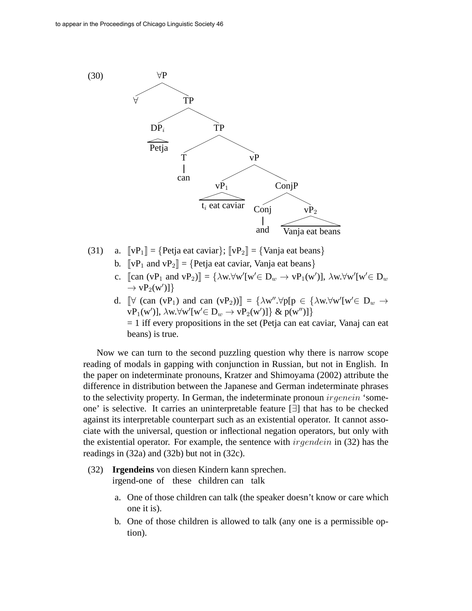

- (31) a.  $\[\mathbf{v}\mathbf{P}_1\] = \{\text{Petja eat caviar}\}\;\{\mathbf{v}\mathbf{P}_2\] = \{\text{Vanja eat beans}\}\}\$ 
	- b.  $\llbracket vP_1 \text{ and } vP_2 \rrbracket = \{ \text{Petja eat caviar, Vanja eat beans} \}$
	- c. [can  $(vP_1 \text{ and } vP_2)$ ] = { $\lambda w. \forall w'[w' \in D_w \rightarrow vP_1(w')]$ ,  $\lambda w. \forall w'[w' \in D_w$  $\rightarrow \text{vP}_2(\text{w}')$ ]
	- d.  $[\forall$  (can (vP<sub>1</sub>) and can (vP<sub>2</sub>)) $] = {\lambda w'' \cdot \forall p[p \in {\lambda w. \forall w'[w' \in D_w \rightarrow \emptyset]}$}$  $\mathbf{v}(\mathbf{P}_1(\mathbf{w}'))$ ,  $\lambda \mathbf{w} \forall \mathbf{w}'[\mathbf{w}' \in \mathbf{D}_w \rightarrow \mathbf{v}'\mathbf{P}_2(\mathbf{w}')]\}$  &  $\mathbf{p}(\mathbf{w}'')$ ]  $= 1$  iff every propositions in the set (Petja can eat caviar, Vanaj can eat beans) is true.

Now we can turn to the second puzzling question why there is narrow scope reading of modals in gapping with conjunction in Russian, but not in English. In the paper on indeterminate pronouns, Kratzer and Shimoyama (2002) attribute the difference in distribution between the Japanese and German indeterminate phrases to the selectivity property. In German, the indeterminate pronoun  $irgenein$  'someone' is selective. It carries an uninterpretable feature [∃] that has to be checked against its interpretable counterpart such as an existential operator. It cannot associate with the universal, question or inflectional negation operators, but only with the existential operator. For example, the sentence with  $irgendein$  (32) has the readings in (32a) and (32b) but not in (32c).

- (32) **Irgendeins** von diesen Kindern kann sprechen. irgend-one of these children can talk
	- a. One of those children can talk (the speaker doesn't know or care which one it is).
	- b. One of those children is allowed to talk (any one is a permissible option).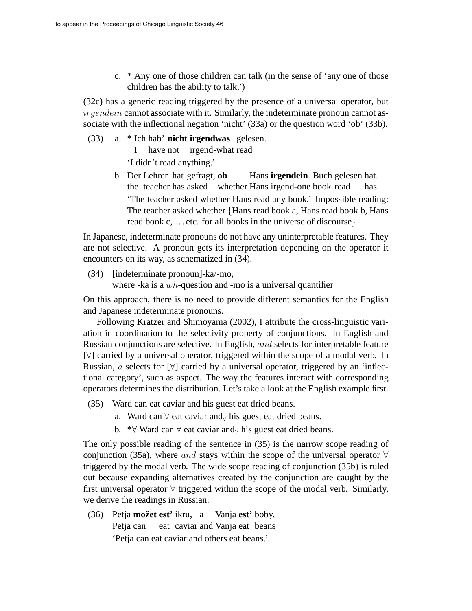c. \* Any one of those children can talk (in the sense of 'any one of those children has the ability to talk.')

(32c) has a generic reading triggered by the presence of a universal operator, but ir qendein cannot associate with it. Similarly, the indeterminate pronoun cannot associate with the inflectional negation 'nicht' (33a) or the question word 'ob' (33b).

(33) a. \* Ich hab' **nicht irgendwas** gelesen. I have not irgend-what read

'I didn't read anything.'

b. Der Lehrer hat gefragt, **ob** the teacher has asked whether Hans irgend-one book read Hans **irgendein** Buch gelesen hat. has 'The teacher asked whether Hans read any book.' Impossible reading: The teacher asked whether {Hans read book a, Hans read book b, Hans read book c, ... etc. for all books in the universe of discourse }

In Japanese, indeterminate pronouns do not have any uninterpretable features. They are not selective. A pronoun gets its interpretation depending on the operator it encounters on its way, as schematized in (34).

(34) [indeterminate pronoun]-ka/-mo, where -ka is a  $wh$ -question and -mo is a universal quantifier

On this approach, there is no need to provide different semantics for the English and Japanese indeterminate pronouns.

Following Kratzer and Shimoyama (2002), I attribute the cross-linguistic variation in coordination to the selectivity property of conjunctions. In English and Russian conjunctions are selective. In English, and selects for interpretable feature [∀] carried by a universal operator, triggered within the scope of a modal verb. In Russian, a selects for  $[\forall]$  carried by a universal operator, triggered by an 'inflectional category', such as aspect. The way the features interact with corresponding operators determines the distribution. Let's take a look at the English example first.

- (35) Ward can eat caviar and his guest eat dried beans.
	- a. Ward can  $\forall$  eat caviar and $\forall$  his guest eat dried beans.
	- b. \*∀ Ward can  $\forall$  eat caviar and $\forall$  his guest eat dried beans.

The only possible reading of the sentence in (35) is the narrow scope reading of conjunction (35a), where and stays within the scope of the universal operator  $\forall$ triggered by the modal verb. The wide scope reading of conjunction (35b) is ruled out because expanding alternatives created by the conjunction are caught by the first universal operator ∀ triggered within the scope of the modal verb. Similarly, we derive the readings in Russian.

(36) Petja **možet est'** ikru, a Vanja **est'** boby. Petja can eat caviar and Vanja eat beans 'Petja can eat caviar and others eat beans.'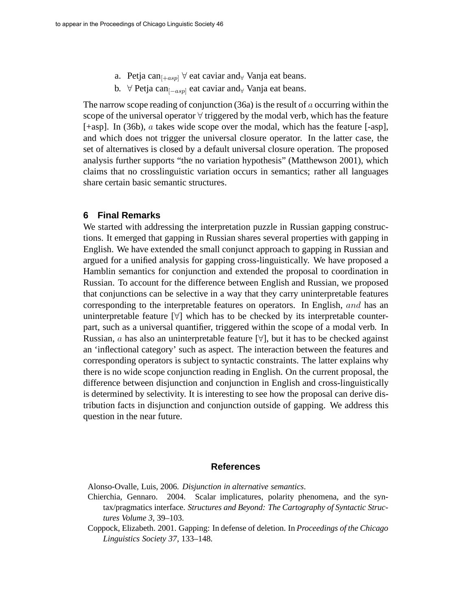- a. Petja can<sub> $[-asp]$ </sub>  $\forall$  eat caviar and<sub> $\forall$ </sub> Vanja eat beans.
- b. ∀ Petja can<sub> $[-asp]$ </sub> eat caviar and<sub>∀</sub> Vanja eat beans.

The narrow scope reading of conjunction  $(36a)$  is the result of a occurring within the scope of the universal operator  $\forall$  triggered by the modal verb, which has the feature [+asp]. In (36b), a takes wide scope over the modal, which has the feature [-asp], and which does not trigger the universal closure operator. In the latter case, the set of alternatives is closed by a default universal closure operation. The proposed analysis further supports "the no variation hypothesis" (Matthewson 2001), which claims that no crosslinguistic variation occurs in semantics; rather all languages share certain basic semantic structures.

#### **6 Final Remarks**

We started with addressing the interpretation puzzle in Russian gapping constructions. It emerged that gapping in Russian shares several properties with gapping in English. We have extended the small conjunct approach to gapping in Russian and argued for a unified analysis for gapping cross-linguistically. We have proposed a Hamblin semantics for conjunction and extended the proposal to coordination in Russian. To account for the difference between English and Russian, we proposed that conjunctions can be selective in a way that they carry uninterpretable features corresponding to the interpretable features on operators. In English, and has an uninterpretable feature  $[\forall]$  which has to be checked by its interpretable counterpart, such as a universal quantifier, triggered within the scope of a modal verb. In Russian, *a* has also an uninterpretable feature  $[\forall]$ , but it has to be checked against an 'inflectional category' such as aspect. The interaction between the features and corresponding operators is subject to syntactic constraints. The latter explains why there is no wide scope conjunction reading in English. On the current proposal, the difference between disjunction and conjunction in English and cross-linguistically is determined by selectivity. It is interesting to see how the proposal can derive distribution facts in disjunction and conjunction outside of gapping. We address this question in the near future.

### **References**

Alonso-Ovalle, Luis, 2006. *Disjunction in alternative semantics*.

- Chierchia, Gennaro. 2004. Scalar implicatures, polarity phenomena, and the syntax/pragmatics interface. *Structures and Beyond: The Cartography of Syntactic Structures Volume 3,* 39–103.
- Coppock, Elizabeth. 2001. Gapping: In defense of deletion. In *Proceedings of the Chicago Linguistics Society 37*, 133–148.